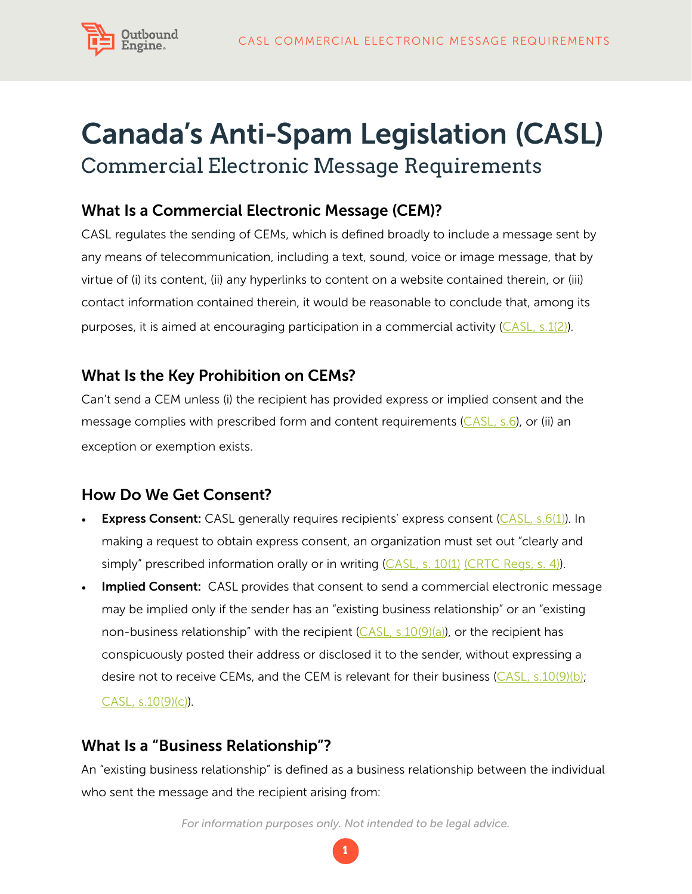

# Canada's Anti-Spam Legislation (CASL) Commercial Electronic Message Requirements

# What Is a Commercial Electronic Message (CEM)?

CASL regulates the sending of CEMs, which is defined broadly to include a message sent by any means of telecommunication, including a text, sound, voice or image message, that by virtue of (i) its content, (ii) any hyperlinks to content on a website contained therein, or (iii) contact information contained therein, it would be reasonable to conclude that, among its purposes, it is aimed at encouraging participation in a commercial activity ([CASL, s.1\(2\)](http://laws-lois.justice.gc.ca/eng/acts/E-1.6/page-1.html%23h-1)).

### What Is the Key Prohibition on CEMs?

Can't send a CEM unless (i) the recipient has provided express or implied consent and the message complies with prescribed form and content requirements  $(CASL, s.6)$ , or (ii) an exception or exemption exists.

# How Do We Get Consent?

- **Express Consent:** CASL generally requires recipients' express consent ( $\overline{CASL}$ , s.6(1)). In making a request to obtain express consent, an organization must set out "clearly and simply" prescribed information orally or in writing  $(CASL, s. 10(1)$  [\(CRTC Regs, s. 4\)](http://laws-lois.justice.gc.ca/eng/regulations/SOR-2012-36/page-1.html%23h-4)).
- **Implied Consent:** CASL provides that consent to send a commercial electronic message may be implied only if the sender has an "existing business relationship" or an "existing non-business relationship" with the recipient  $(CASL, s.10(9)(a))$ , or the recipient has conspicuously posted their address or disclosed it to the sender, without expressing a desire not to receive CEMs, and the CEM is relevant for their business  $(CASL, s.10(9)(b))$  $(CASL, s.10(9)(b))$  $(CASL, s.10(9)(b))$ ; [CASL, s.10\(9\)\(c\)](http://laws-lois.justice.gc.ca/eng/acts/E-1.6/page-3.html%23docCont)).

# What Is a "Business Relationship"?

An "existing business relationship" is defined as a business relationship between the individual who sent the message and the recipient arising from:

*For information purposes only. Not intended to be legal advice.*

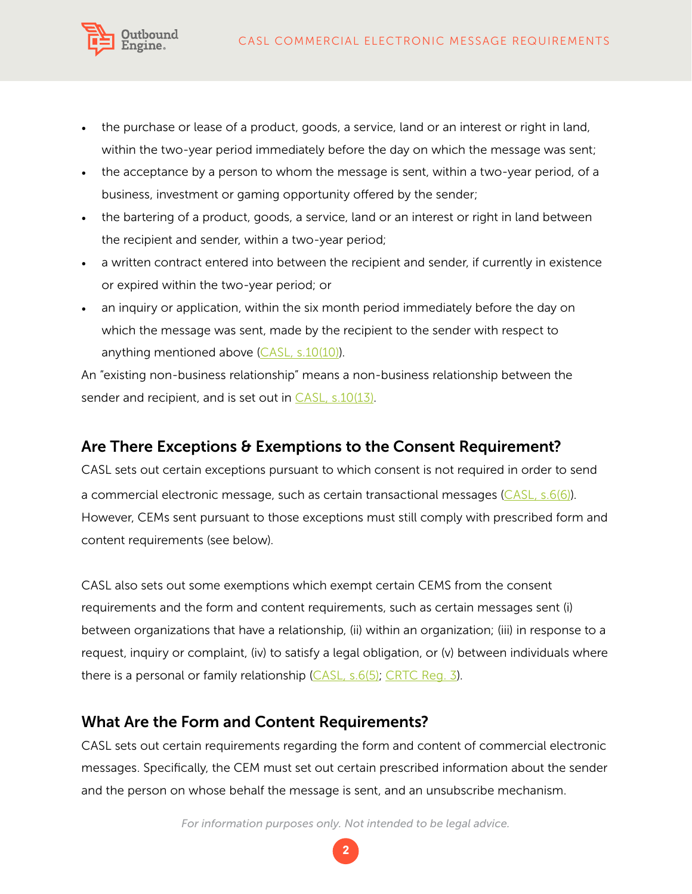

- the purchase or lease of a product, goods, a service, land or an interest or right in land, within the two-year period immediately before the day on which the message was sent;
- the acceptance by a person to whom the message is sent, within a two-year period, of a business, investment or gaming opportunity offered by the sender;
- the bartering of a product, goods, a service, land or an interest or right in land between the recipient and sender, within a two-year period;
- a written contract entered into between the recipient and sender, if currently in existence or expired within the two-year period; or
- an inquiry or application, within the six month period immediately before the day on which the message was sent, made by the recipient to the sender with respect to anything mentioned above [\(CASL, s.10\(10\)\)](http://laws-lois.justice.gc.ca/eng/acts/E-1.6/page-3.html%23docCont).

An "existing non-business relationship" means a non-business relationship between the sender and recipient, and is set out in [CASL, s.10\(13\).](http://laws-lois.justice.gc.ca/eng/acts/E-1.6/page-3.html%23docCont)

#### Are There Exceptions & Exemptions to the Consent Requirement?

CASL sets out certain exceptions pursuant to which consent is not required in order to send a commercial electronic message, such as certain transactional messages  $(CASL, s.6(6))$ . However, CEMs sent pursuant to those exceptions must still comply with prescribed form and content requirements (see below).

CASL also sets out some exemptions which exempt certain CEMS from the consent requirements and the form and content requirements, such as certain messages sent (i) between organizations that have a relationship, (ii) within an organization; (iii) in response to a request, inquiry or complaint, (iv) to satisfy a legal obligation, or (v) between individuals where there is a personal or family relationship ([CASL, s.6\(5\)](http://laws-lois.justice.gc.ca/eng/acts/E-1.6/page-2.html%23h-6); [CRTC Reg. 3](http://laws-lois.justice.gc.ca/eng/regulations/SOR-2012-36/page-1.html)).

#### What Are the Form and Content Requirements?

CASL sets out certain requirements regarding the form and content of commercial electronic messages. Specifically, the CEM must set out certain prescribed information about the sender and the person on whose behalf the message is sent, and an unsubscribe mechanism.

*For information purposes only. Not intended to be legal advice.*

**2**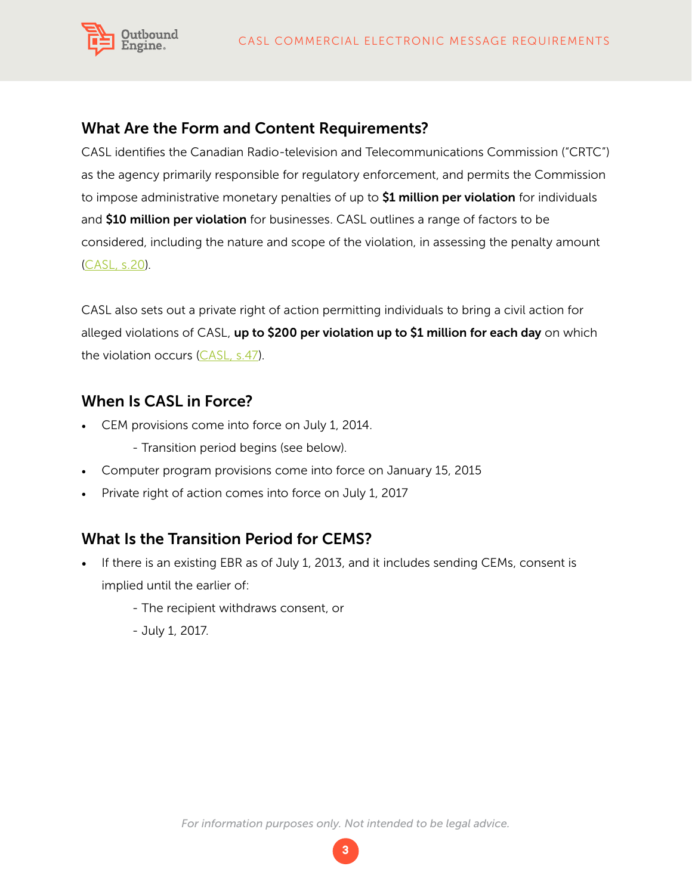

#### What Are the Form and Content Requirements?

CASL identifies the Canadian Radio-television and Telecommunications Commission ("CRTC") as the agency primarily responsible for regulatory enforcement, and permits the Commission to impose administrative monetary penalties of up to \$1 million per violation for individuals and \$10 million per violation for businesses. CASL outlines a range of factors to be considered, including the nature and scope of the violation, in assessing the penalty amount [\(CASL, s.20](http://laws-lois.justice.gc.ca/eng/acts/E-1.6/page-8.html%23h-12)).

CASL also sets out a private right of action permitting individuals to bring a civil action for alleged violations of CASL, up to \$200 per violation up to \$1 million for each day on which the violation occurs [\(CASL, s.47\)](http://laws-lois.justice.gc.ca/eng/acts/E-1.6/page-14.html%23h-22).

#### When Is CASL in Force?

- • CEM provisions come into force on July 1, 2014.
	- Transition period begins (see below).
- Computer program provisions come into force on January 15, 2015
- Private right of action comes into force on July 1, 2017

#### What Is the Transition Period for CEMS?

- If there is an existing EBR as of July 1, 2013, and it includes sending CEMs, consent is implied until the earlier of:
	- The recipient withdraws consent, or
	- July 1, 2017.

*For information purposes only. Not intended to be legal advice.*